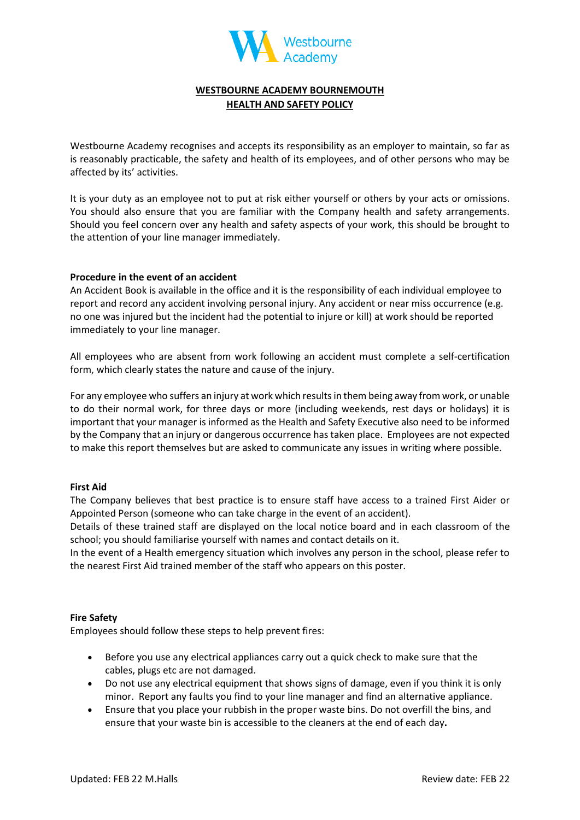

# **WESTBOURNE ACADEMY BOURNEMOUTH HEALTH AND SAFETY POLICY**

Westbourne Academy recognises and accepts its responsibility as an employer to maintain, so far as is reasonably practicable, the safety and health of its employees, and of other persons who may be affected by its' activities.

It is your duty as an employee not to put at risk either yourself or others by your acts or omissions. You should also ensure that you are familiar with the Company health and safety arrangements. Should you feel concern over any health and safety aspects of your work, this should be brought to the attention of your line manager immediately.

### **Procedure in the event of an accident**

An Accident Book is available in the office and it is the responsibility of each individual employee to report and record any accident involving personal injury. Any accident or near miss occurrence (e.g. no one was injured but the incident had the potential to injure or kill) at work should be reported immediately to your line manager.

All employees who are absent from work following an accident must complete a self-certification form, which clearly states the nature and cause of the injury.

For any employee who suffers an injury at work which results in them being away from work, or unable to do their normal work, for three days or more (including weekends, rest days or holidays) it is important that your manager is informed as the Health and Safety Executive also need to be informed by the Company that an injury or dangerous occurrence has taken place. Employees are not expected to make this report themselves but are asked to communicate any issues in writing where possible.

### **First Aid**

The Company believes that best practice is to ensure staff have access to a trained First Aider or Appointed Person (someone who can take charge in the event of an accident).

Details of these trained staff are displayed on the local notice board and in each classroom of the school; you should familiarise yourself with names and contact details on it.

In the event of a Health emergency situation which involves any person in the school, please refer to the nearest First Aid trained member of the staff who appears on this poster.

#### **Fire Safety**

Employees should follow these steps to help prevent fires:

- Before you use any electrical appliances carry out a quick check to make sure that the cables, plugs etc are not damaged.
- Do not use any electrical equipment that shows signs of damage, even if you think it is only minor. Report any faults you find to your line manager and find an alternative appliance.
- Ensure that you place your rubbish in the proper waste bins. Do not overfill the bins, and ensure that your waste bin is accessible to the cleaners at the end of each day**.**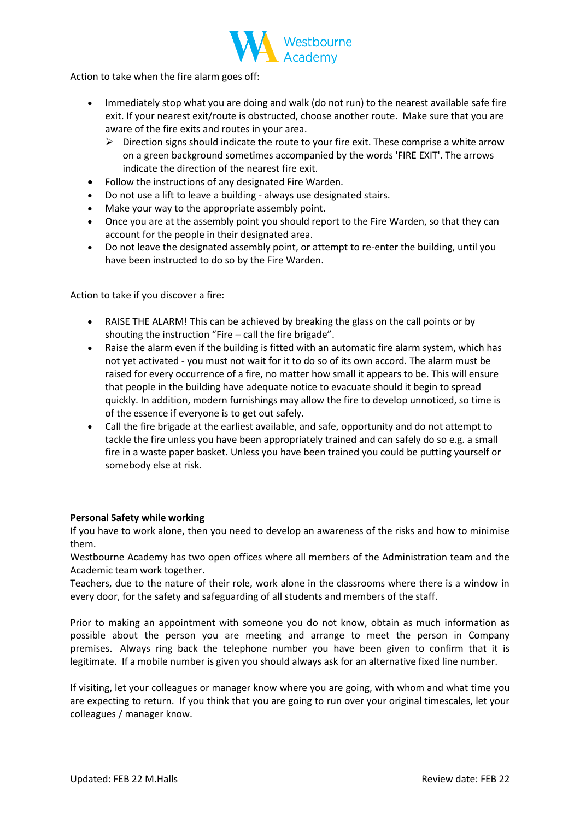

Action to take when the fire alarm goes off:

- Immediately stop what you are doing and walk (do not run) to the nearest available safe fire exit. If your nearest exit/route is obstructed, choose another route. Make sure that you are aware of the fire exits and routes in your area.
	- ➢ Direction signs should indicate the route to your fire exit. These comprise a white arrow on a green background sometimes accompanied by the words 'FIRE EXIT'. The arrows indicate the direction of the nearest fire exit.
- Follow the instructions of any designated Fire Warden.
- Do not use a lift to leave a building always use designated stairs.
- Make your way to the appropriate assembly point.
- Once you are at the assembly point you should report to the Fire Warden, so that they can account for the people in their designated area.
- Do not leave the designated assembly point, or attempt to re-enter the building, until you have been instructed to do so by the Fire Warden.

Action to take if you discover a fire:

- RAISE THE ALARM! This can be achieved by breaking the glass on the call points or by shouting the instruction "Fire – call the fire brigade".
- Raise the alarm even if the building is fitted with an automatic fire alarm system, which has not yet activated - you must not wait for it to do so of its own accord. The alarm must be raised for every occurrence of a fire, no matter how small it appears to be. This will ensure that people in the building have adequate notice to evacuate should it begin to spread quickly. In addition, modern furnishings may allow the fire to develop unnoticed, so time is of the essence if everyone is to get out safely.
- Call the fire brigade at the earliest available, and safe, opportunity and do not attempt to tackle the fire unless you have been appropriately trained and can safely do so e.g. a small fire in a waste paper basket. Unless you have been trained you could be putting yourself or somebody else at risk.

### **Personal Safety while working**

If you have to work alone, then you need to develop an awareness of the risks and how to minimise them.

Westbourne Academy has two open offices where all members of the Administration team and the Academic team work together.

Teachers, due to the nature of their role, work alone in the classrooms where there is a window in every door, for the safety and safeguarding of all students and members of the staff.

Prior to making an appointment with someone you do not know, obtain as much information as possible about the person you are meeting and arrange to meet the person in Company premises. Always ring back the telephone number you have been given to confirm that it is legitimate. If a mobile number is given you should always ask for an alternative fixed line number.

If visiting, let your colleagues or manager know where you are going, with whom and what time you are expecting to return. If you think that you are going to run over your original timescales, let your colleagues / manager know.